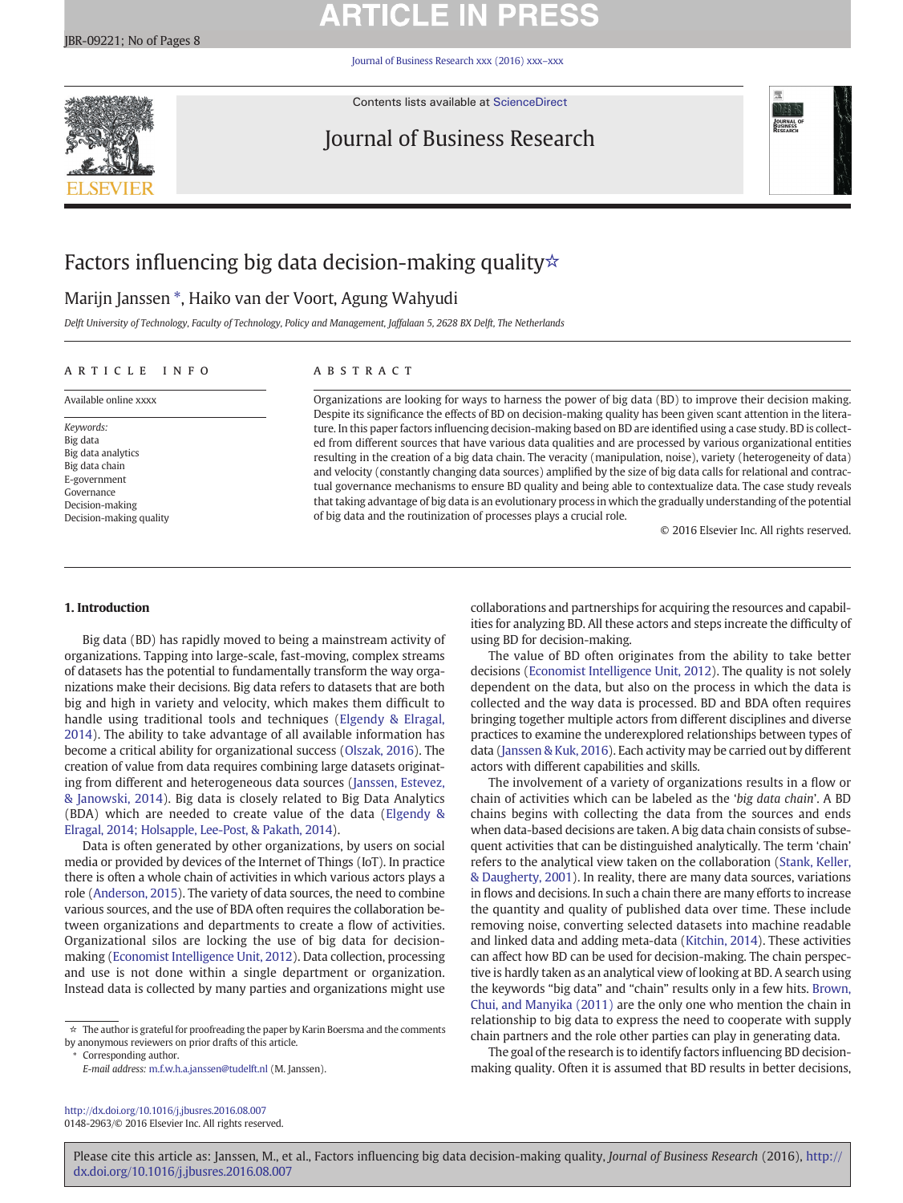# **ARTICLE IN PRESS**

[Journal of Business Research xxx \(2016\) xxx](http://dx.doi.org/10.1016/j.jbusres.2016.08.007)–xxx



Contents lists available at [ScienceDirect](http://www.sciencedirect.com/science/journal/01482963)

## Journal of Business Research



## Factors influencing big data decision-making quality☆

### Marijn Janssen \*, Haiko van der Voort, Agung Wahyudi

Delft University of Technology, Faculty of Technology, Policy and Management, Jaffalaan 5, 2628 BX Delft, The Netherlands

#### article info abstract

Keywords: Big data Big data analytics Big data chain E-government Governance Decision-making Decision-making quality

Available online xxxx **Organizations are looking for ways to harness the power of big data (BD) to improve their decision making.** Despite its significance the effects of BD on decision-making quality has been given scant attention in the literature. In this paper factors influencing decision-making based on BD are identified using a case study. BD is collected from different sources that have various data qualities and are processed by various organizational entities resulting in the creation of a big data chain. The veracity (manipulation, noise), variety (heterogeneity of data) and velocity (constantly changing data sources) amplified by the size of big data calls for relational and contractual governance mechanisms to ensure BD quality and being able to contextualize data. The case study reveals that taking advantage of big data is an evolutionary process in which the gradually understanding of the potential of big data and the routinization of processes plays a crucial role.

© 2016 Elsevier Inc. All rights reserved.

### 1. Introduction

Big data (BD) has rapidly moved to being a mainstream activity of organizations. Tapping into large-scale, fast-moving, complex streams of datasets has the potential to fundamentally transform the way organizations make their decisions. Big data refers to datasets that are both big and high in variety and velocity, which makes them difficult to handle using traditional tools and techniques [\(Elgendy & Elragal,](#page-6-0) [2014\)](#page-6-0). The ability to take advantage of all available information has become a critical ability for organizational success ([Olszak, 2016\)](#page-6-0). The creation of value from data requires combining large datasets originating from different and heterogeneous data sources ([Janssen, Estevez,](#page-6-0) [& Janowski, 2014](#page-6-0)). Big data is closely related to Big Data Analytics (BDA) which are needed to create value of the data ([Elgendy &](#page-6-0) [Elragal, 2014; Holsapple, Lee-Post, & Pakath, 2014](#page-6-0)).

Data is often generated by other organizations, by users on social media or provided by devices of the Internet of Things (IoT). In practice there is often a whole chain of activities in which various actors plays a role ([Anderson, 2015](#page-6-0)). The variety of data sources, the need to combine various sources, and the use of BDA often requires the collaboration between organizations and departments to create a flow of activities. Organizational silos are locking the use of big data for decisionmaking [\(Economist Intelligence Unit, 2012\)](#page-6-0). Data collection, processing and use is not done within a single department or organization. Instead data is collected by many parties and organizations might use

☆ The author is grateful for proofreading the paper by Karin Boersma and the comments by anonymous reviewers on prior drafts of this article.

⁎ Corresponding author.

E-mail address: [m.f.w.h.a.janssen@tudelft.nl](mailto:m.f.w.h.a.janssen@tudelft.nl) (M. Janssen).

<http://dx.doi.org/10.1016/j.jbusres.2016.08.007> 0148-2963/© 2016 Elsevier Inc. All rights reserved. collaborations and partnerships for acquiring the resources and capabilities for analyzing BD. All these actors and steps increate the difficulty of using BD for decision-making.

The value of BD often originates from the ability to take better decisions [\(Economist Intelligence Unit, 2012](#page-6-0)). The quality is not solely dependent on the data, but also on the process in which the data is collected and the way data is processed. BD and BDA often requires bringing together multiple actors from different disciplines and diverse practices to examine the underexplored relationships between types of data [\(Janssen & Kuk, 2016](#page-6-0)). Each activity may be carried out by different actors with different capabilities and skills.

The involvement of a variety of organizations results in a flow or chain of activities which can be labeled as the 'big data chain'. A BD chains begins with collecting the data from the sources and ends when data-based decisions are taken. A big data chain consists of subsequent activities that can be distinguished analytically. The term 'chain' refers to the analytical view taken on the collaboration [\(Stank, Keller,](#page-7-0) [& Daugherty, 2001\)](#page-7-0). In reality, there are many data sources, variations in flows and decisions. In such a chain there are many efforts to increase the quantity and quality of published data over time. These include removing noise, converting selected datasets into machine readable and linked data and adding meta-data [\(Kitchin, 2014\)](#page-6-0). These activities can affect how BD can be used for decision-making. The chain perspective is hardly taken as an analytical view of looking at BD. A search using the keywords "big data" and "chain" results only in a few hits. [Brown,](#page-6-0) [Chui, and Manyika \(2011\)](#page-6-0) are the only one who mention the chain in relationship to big data to express the need to cooperate with supply chain partners and the role other parties can play in generating data.

The goal of the research is to identify factors influencing BD decisionmaking quality. Often it is assumed that BD results in better decisions,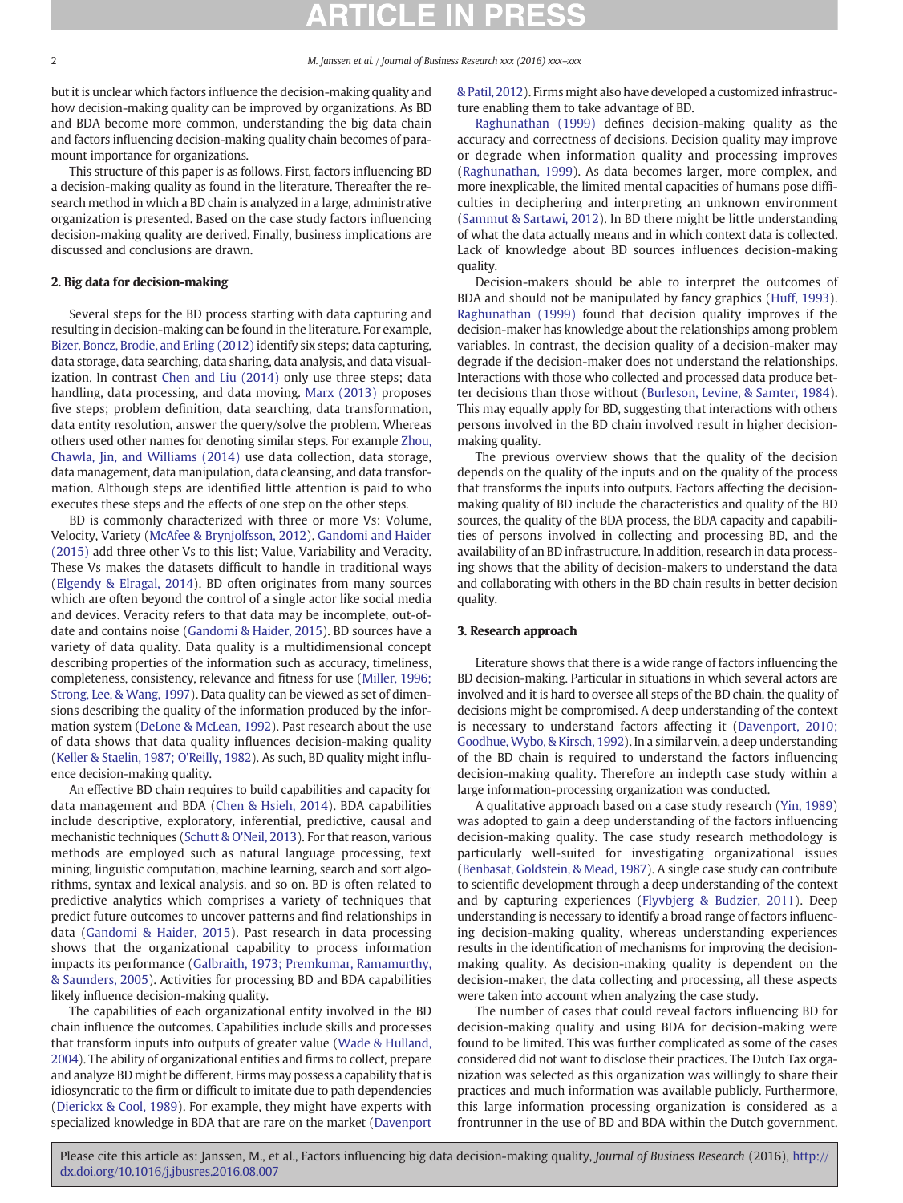but it is unclear which factors influence the decision-making quality and how decision-making quality can be improved by organizations. As BD and BDA become more common, understanding the big data chain and factors influencing decision-making quality chain becomes of paramount importance for organizations.

This structure of this paper is as follows. First, factors influencing BD a decision-making quality as found in the literature. Thereafter the research method in which a BD chain is analyzed in a large, administrative organization is presented. Based on the case study factors influencing decision-making quality are derived. Finally, business implications are discussed and conclusions are drawn.

### 2. Big data for decision-making

Several steps for the BD process starting with data capturing and resulting in decision-making can be found in the literature. For example, [Bizer, Boncz, Brodie, and Erling \(2012\)](#page-6-0) identify six steps; data capturing, data storage, data searching, data sharing, data analysis, and data visualization. In contrast [Chen and Liu \(2014\)](#page-6-0) only use three steps; data handling, data processing, and data moving. [Marx \(2013\)](#page-6-0) proposes five steps; problem definition, data searching, data transformation, data entity resolution, answer the query/solve the problem. Whereas others used other names for denoting similar steps. For example [Zhou,](#page-7-0) [Chawla, Jin, and Williams \(2014\)](#page-7-0) use data collection, data storage, data management, data manipulation, data cleansing, and data transformation. Although steps are identified little attention is paid to who executes these steps and the effects of one step on the other steps.

BD is commonly characterized with three or more Vs: Volume, Velocity, Variety ([McAfee & Brynjolfsson, 2012](#page-6-0)). [Gandomi and Haider](#page-6-0) [\(2015\)](#page-6-0) add three other Vs to this list; Value, Variability and Veracity. These Vs makes the datasets difficult to handle in traditional ways [\(Elgendy & Elragal, 2014\)](#page-6-0). BD often originates from many sources which are often beyond the control of a single actor like social media and devices. Veracity refers to that data may be incomplete, out-ofdate and contains noise [\(Gandomi & Haider, 2015\)](#page-6-0). BD sources have a variety of data quality. Data quality is a multidimensional concept describing properties of the information such as accuracy, timeliness, completeness, consistency, relevance and fitness for use [\(Miller, 1996;](#page-6-0) [Strong, Lee, & Wang, 1997\)](#page-6-0). Data quality can be viewed as set of dimensions describing the quality of the information produced by the information system ([DeLone & McLean, 1992\)](#page-6-0). Past research about the use of data shows that data quality influences decision-making quality [\(Keller & Staelin, 1987; O'Reilly, 1982\)](#page-6-0). As such, BD quality might influence decision-making quality.

An effective BD chain requires to build capabilities and capacity for data management and BDA [\(Chen & Hsieh, 2014](#page-6-0)). BDA capabilities include descriptive, exploratory, inferential, predictive, causal and mechanistic techniques ([Schutt & O'Neil, 2013\)](#page-7-0). For that reason, various methods are employed such as natural language processing, text mining, linguistic computation, machine learning, search and sort algorithms, syntax and lexical analysis, and so on. BD is often related to predictive analytics which comprises a variety of techniques that predict future outcomes to uncover patterns and find relationships in data ([Gandomi & Haider, 2015](#page-6-0)). Past research in data processing shows that the organizational capability to process information impacts its performance ([Galbraith, 1973; Premkumar, Ramamurthy,](#page-6-0) [& Saunders, 2005\)](#page-6-0). Activities for processing BD and BDA capabilities likely influence decision-making quality.

The capabilities of each organizational entity involved in the BD chain influence the outcomes. Capabilities include skills and processes that transform inputs into outputs of greater value [\(Wade & Hulland,](#page-7-0) [2004\)](#page-7-0). The ability of organizational entities and firms to collect, prepare and analyze BD might be different. Firms may possess a capability that is idiosyncratic to the firm or difficult to imitate due to path dependencies [\(Dierickx & Cool, 1989](#page-6-0)). For example, they might have experts with specialized knowledge in BDA that are rare on the market ([Davenport](#page-6-0) [& Patil, 2012](#page-6-0)). Firms might also have developed a customized infrastructure enabling them to take advantage of BD.

[Raghunathan \(1999\)](#page-7-0) defines decision-making quality as the accuracy and correctness of decisions. Decision quality may improve or degrade when information quality and processing improves [\(Raghunathan, 1999\)](#page-7-0). As data becomes larger, more complex, and more inexplicable, the limited mental capacities of humans pose difficulties in deciphering and interpreting an unknown environment [\(Sammut & Sartawi, 2012](#page-7-0)). In BD there might be little understanding of what the data actually means and in which context data is collected. Lack of knowledge about BD sources influences decision-making quality.

Decision-makers should be able to interpret the outcomes of BDA and should not be manipulated by fancy graphics ([Huff, 1993](#page-6-0)). [Raghunathan \(1999\)](#page-7-0) found that decision quality improves if the decision-maker has knowledge about the relationships among problem variables. In contrast, the decision quality of a decision-maker may degrade if the decision-maker does not understand the relationships. Interactions with those who collected and processed data produce better decisions than those without ([Burleson, Levine, & Samter, 1984](#page-6-0)). This may equally apply for BD, suggesting that interactions with others persons involved in the BD chain involved result in higher decisionmaking quality.

The previous overview shows that the quality of the decision depends on the quality of the inputs and on the quality of the process that transforms the inputs into outputs. Factors affecting the decisionmaking quality of BD include the characteristics and quality of the BD sources, the quality of the BDA process, the BDA capacity and capabilities of persons involved in collecting and processing BD, and the availability of an BD infrastructure. In addition, research in data processing shows that the ability of decision-makers to understand the data and collaborating with others in the BD chain results in better decision quality.

### 3. Research approach

Literature shows that there is a wide range of factors influencing the BD decision-making. Particular in situations in which several actors are involved and it is hard to oversee all steps of the BD chain, the quality of decisions might be compromised. A deep understanding of the context is necessary to understand factors affecting it ([Davenport, 2010;](#page-6-0) [Goodhue, Wybo, & Kirsch, 1992\)](#page-6-0). In a similar vein, a deep understanding of the BD chain is required to understand the factors influencing decision-making quality. Therefore an indepth case study within a large information-processing organization was conducted.

A qualitative approach based on a case study research [\(Yin, 1989](#page-7-0)) was adopted to gain a deep understanding of the factors influencing decision-making quality. The case study research methodology is particularly well-suited for investigating organizational issues [\(Benbasat, Goldstein, & Mead, 1987\)](#page-6-0). A single case study can contribute to scientific development through a deep understanding of the context and by capturing experiences ([Flyvbjerg & Budzier, 2011](#page-6-0)). Deep understanding is necessary to identify a broad range of factors influencing decision-making quality, whereas understanding experiences results in the identification of mechanisms for improving the decisionmaking quality. As decision-making quality is dependent on the decision-maker, the data collecting and processing, all these aspects were taken into account when analyzing the case study.

The number of cases that could reveal factors influencing BD for decision-making quality and using BDA for decision-making were found to be limited. This was further complicated as some of the cases considered did not want to disclose their practices. The Dutch Tax organization was selected as this organization was willingly to share their practices and much information was available publicly. Furthermore, this large information processing organization is considered as a frontrunner in the use of BD and BDA within the Dutch government.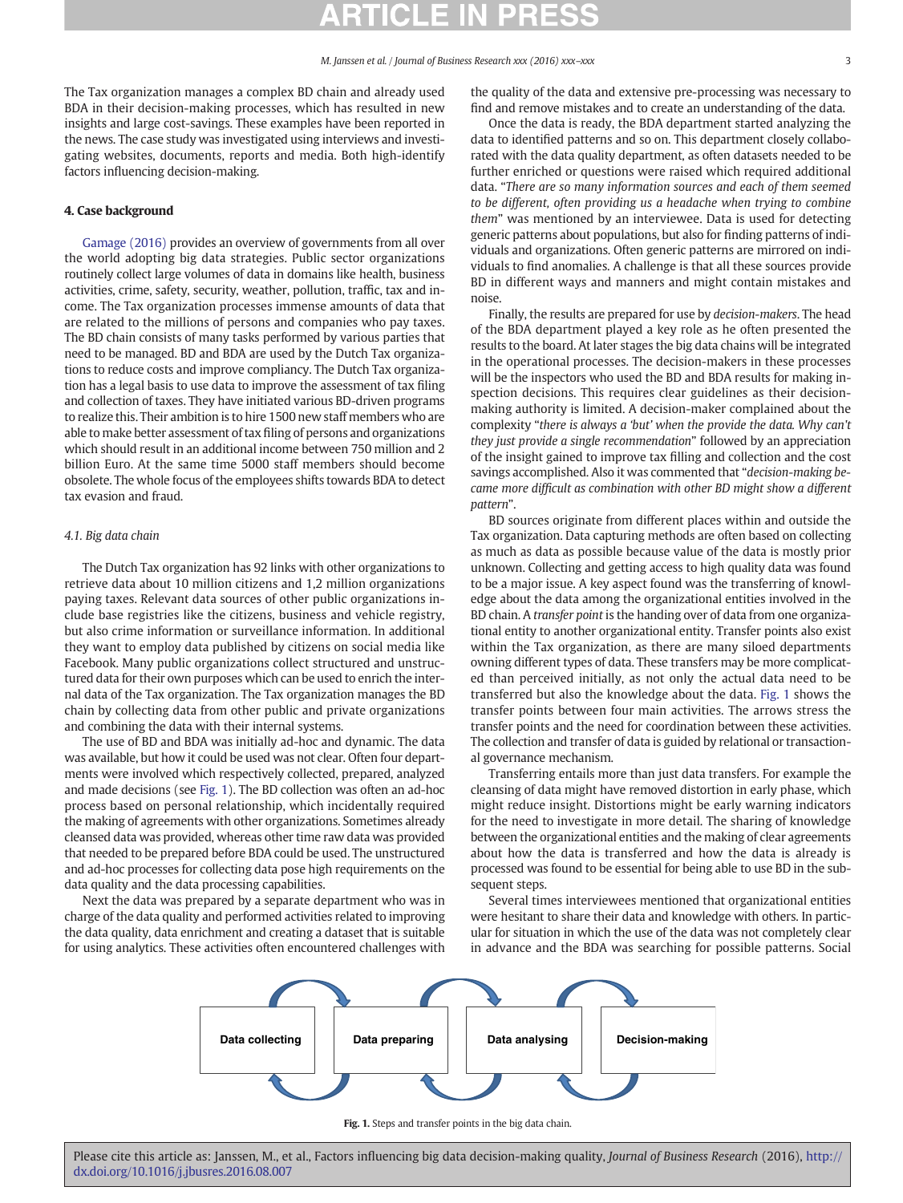The Tax organization manages a complex BD chain and already used BDA in their decision-making processes, which has resulted in new insights and large cost-savings. These examples have been reported in the news. The case study was investigated using interviews and investigating websites, documents, reports and media. Both high-identify factors influencing decision-making.

#### 4. Case background

[Gamage \(2016\)](#page-6-0) provides an overview of governments from all over the world adopting big data strategies. Public sector organizations routinely collect large volumes of data in domains like health, business activities, crime, safety, security, weather, pollution, traffic, tax and income. The Tax organization processes immense amounts of data that are related to the millions of persons and companies who pay taxes. The BD chain consists of many tasks performed by various parties that need to be managed. BD and BDA are used by the Dutch Tax organizations to reduce costs and improve compliancy. The Dutch Tax organization has a legal basis to use data to improve the assessment of tax filing and collection of taxes. They have initiated various BD-driven programs to realize this. Their ambition is to hire 1500 new staff members who are able to make better assessment of tax filing of persons and organizations which should result in an additional income between 750 million and 2 billion Euro. At the same time 5000 staff members should become obsolete. The whole focus of the employees shifts towards BDA to detect tax evasion and fraud.

### 4.1. Big data chain

The Dutch Tax organization has 92 links with other organizations to retrieve data about 10 million citizens and 1,2 million organizations paying taxes. Relevant data sources of other public organizations include base registries like the citizens, business and vehicle registry, but also crime information or surveillance information. In additional they want to employ data published by citizens on social media like Facebook. Many public organizations collect structured and unstructured data for their own purposes which can be used to enrich the internal data of the Tax organization. The Tax organization manages the BD chain by collecting data from other public and private organizations and combining the data with their internal systems.

The use of BD and BDA was initially ad-hoc and dynamic. The data was available, but how it could be used was not clear. Often four departments were involved which respectively collected, prepared, analyzed and made decisions (see Fig. 1). The BD collection was often an ad-hoc process based on personal relationship, which incidentally required the making of agreements with other organizations. Sometimes already cleansed data was provided, whereas other time raw data was provided that needed to be prepared before BDA could be used. The unstructured and ad-hoc processes for collecting data pose high requirements on the data quality and the data processing capabilities.

Next the data was prepared by a separate department who was in charge of the data quality and performed activities related to improving the data quality, data enrichment and creating a dataset that is suitable for using analytics. These activities often encountered challenges with the quality of the data and extensive pre-processing was necessary to find and remove mistakes and to create an understanding of the data.

Once the data is ready, the BDA department started analyzing the data to identified patterns and so on. This department closely collaborated with the data quality department, as often datasets needed to be further enriched or questions were raised which required additional data. "There are so many information sources and each of them seemed to be different, often providing us a headache when trying to combine them" was mentioned by an interviewee. Data is used for detecting generic patterns about populations, but also for finding patterns of individuals and organizations. Often generic patterns are mirrored on individuals to find anomalies. A challenge is that all these sources provide BD in different ways and manners and might contain mistakes and noise.

Finally, the results are prepared for use by decision-makers. The head of the BDA department played a key role as he often presented the results to the board. At later stages the big data chains will be integrated in the operational processes. The decision-makers in these processes will be the inspectors who used the BD and BDA results for making inspection decisions. This requires clear guidelines as their decisionmaking authority is limited. A decision-maker complained about the complexity "there is always a 'but' when the provide the data. Why can't they just provide a single recommendation" followed by an appreciation of the insight gained to improve tax filling and collection and the cost savings accomplished. Also it was commented that "decision-making became more difficult as combination with other BD might show a different pattern".

BD sources originate from different places within and outside the Tax organization. Data capturing methods are often based on collecting as much as data as possible because value of the data is mostly prior unknown. Collecting and getting access to high quality data was found to be a major issue. A key aspect found was the transferring of knowledge about the data among the organizational entities involved in the BD chain. A transfer point is the handing over of data from one organizational entity to another organizational entity. Transfer points also exist within the Tax organization, as there are many siloed departments owning different types of data. These transfers may be more complicated than perceived initially, as not only the actual data need to be transferred but also the knowledge about the data. Fig. 1 shows the transfer points between four main activities. The arrows stress the transfer points and the need for coordination between these activities. The collection and transfer of data is guided by relational or transactional governance mechanism.

Transferring entails more than just data transfers. For example the cleansing of data might have removed distortion in early phase, which might reduce insight. Distortions might be early warning indicators for the need to investigate in more detail. The sharing of knowledge between the organizational entities and the making of clear agreements about how the data is transferred and how the data is already is processed was found to be essential for being able to use BD in the subsequent steps.

Several times interviewees mentioned that organizational entities were hesitant to share their data and knowledge with others. In particular for situation in which the use of the data was not completely clear in advance and the BDA was searching for possible patterns. Social



Fig. 1. Steps and transfer points in the big data chain.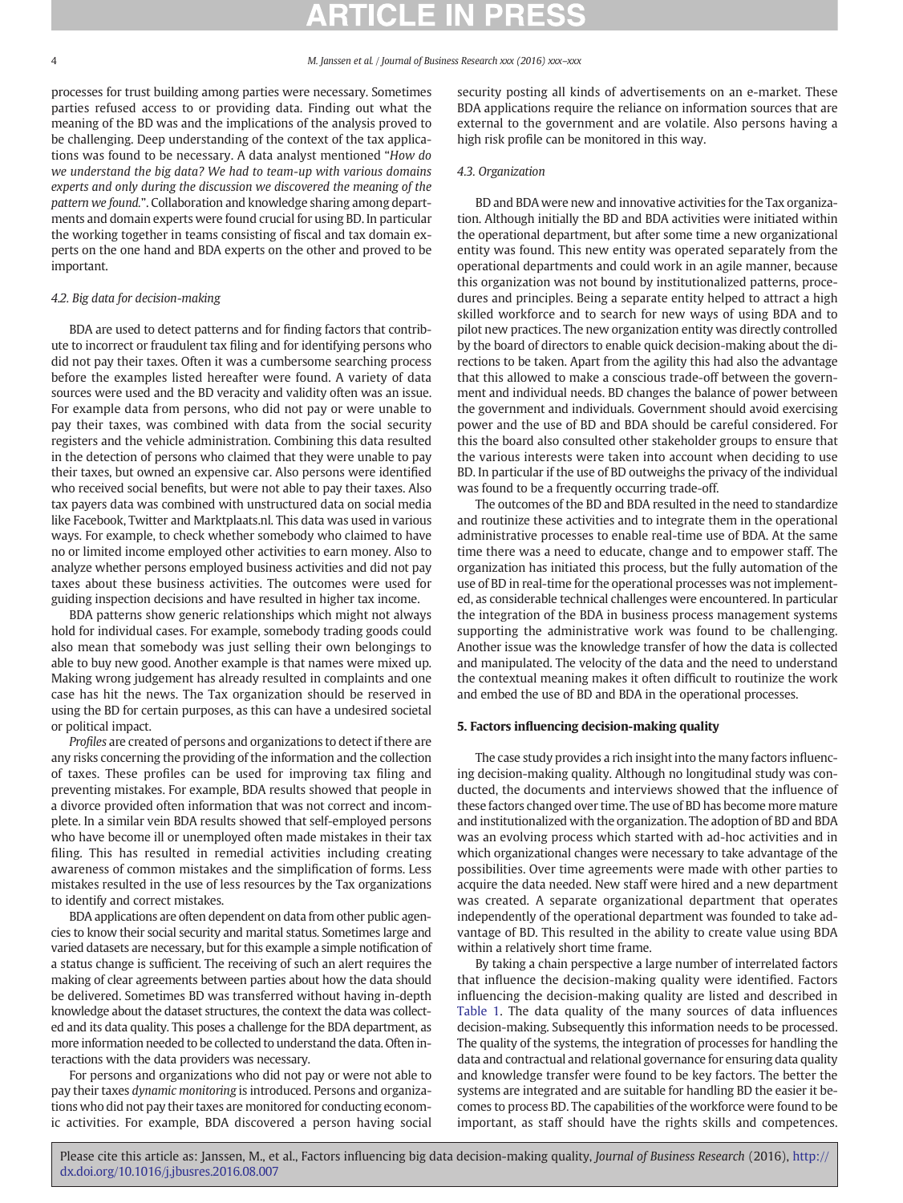processes for trust building among parties were necessary. Sometimes parties refused access to or providing data. Finding out what the meaning of the BD was and the implications of the analysis proved to be challenging. Deep understanding of the context of the tax applications was found to be necessary. A data analyst mentioned "How do we understand the big data? We had to team-up with various domains experts and only during the discussion we discovered the meaning of the pattern we found.". Collaboration and knowledge sharing among departments and domain experts were found crucial for using BD. In particular the working together in teams consisting of fiscal and tax domain experts on the one hand and BDA experts on the other and proved to be important.

### 4.2. Big data for decision-making

BDA are used to detect patterns and for finding factors that contribute to incorrect or fraudulent tax filing and for identifying persons who did not pay their taxes. Often it was a cumbersome searching process before the examples listed hereafter were found. A variety of data sources were used and the BD veracity and validity often was an issue. For example data from persons, who did not pay or were unable to pay their taxes, was combined with data from the social security registers and the vehicle administration. Combining this data resulted in the detection of persons who claimed that they were unable to pay their taxes, but owned an expensive car. Also persons were identified who received social benefits, but were not able to pay their taxes. Also tax payers data was combined with unstructured data on social media like Facebook, Twitter and Marktplaats.nl. This data was used in various ways. For example, to check whether somebody who claimed to have no or limited income employed other activities to earn money. Also to analyze whether persons employed business activities and did not pay taxes about these business activities. The outcomes were used for guiding inspection decisions and have resulted in higher tax income.

BDA patterns show generic relationships which might not always hold for individual cases. For example, somebody trading goods could also mean that somebody was just selling their own belongings to able to buy new good. Another example is that names were mixed up. Making wrong judgement has already resulted in complaints and one case has hit the news. The Tax organization should be reserved in using the BD for certain purposes, as this can have a undesired societal or political impact.

Profiles are created of persons and organizations to detect if there are any risks concerning the providing of the information and the collection of taxes. These profiles can be used for improving tax filing and preventing mistakes. For example, BDA results showed that people in a divorce provided often information that was not correct and incomplete. In a similar vein BDA results showed that self-employed persons who have become ill or unemployed often made mistakes in their tax filing. This has resulted in remedial activities including creating awareness of common mistakes and the simplification of forms. Less mistakes resulted in the use of less resources by the Tax organizations to identify and correct mistakes.

BDA applications are often dependent on data from other public agencies to know their social security and marital status. Sometimes large and varied datasets are necessary, but for this example a simple notification of a status change is sufficient. The receiving of such an alert requires the making of clear agreements between parties about how the data should be delivered. Sometimes BD was transferred without having in-depth knowledge about the dataset structures, the context the data was collected and its data quality. This poses a challenge for the BDA department, as more information needed to be collected to understand the data. Often interactions with the data providers was necessary.

For persons and organizations who did not pay or were not able to pay their taxes dynamic monitoring is introduced. Persons and organizations who did not pay their taxes are monitored for conducting economic activities. For example, BDA discovered a person having social security posting all kinds of advertisements on an e-market. These BDA applications require the reliance on information sources that are external to the government and are volatile. Also persons having a high risk profile can be monitored in this way.

### 4.3. Organization

BD and BDA were new and innovative activities for the Tax organization. Although initially the BD and BDA activities were initiated within the operational department, but after some time a new organizational entity was found. This new entity was operated separately from the operational departments and could work in an agile manner, because this organization was not bound by institutionalized patterns, procedures and principles. Being a separate entity helped to attract a high skilled workforce and to search for new ways of using BDA and to pilot new practices. The new organization entity was directly controlled by the board of directors to enable quick decision-making about the directions to be taken. Apart from the agility this had also the advantage that this allowed to make a conscious trade-off between the government and individual needs. BD changes the balance of power between the government and individuals. Government should avoid exercising power and the use of BD and BDA should be careful considered. For this the board also consulted other stakeholder groups to ensure that the various interests were taken into account when deciding to use BD. In particular if the use of BD outweighs the privacy of the individual was found to be a frequently occurring trade-off.

The outcomes of the BD and BDA resulted in the need to standardize and routinize these activities and to integrate them in the operational administrative processes to enable real-time use of BDA. At the same time there was a need to educate, change and to empower staff. The organization has initiated this process, but the fully automation of the use of BD in real-time for the operational processes was not implemented, as considerable technical challenges were encountered. In particular the integration of the BDA in business process management systems supporting the administrative work was found to be challenging. Another issue was the knowledge transfer of how the data is collected and manipulated. The velocity of the data and the need to understand the contextual meaning makes it often difficult to routinize the work and embed the use of BD and BDA in the operational processes.

### 5. Factors influencing decision-making quality

The case study provides a rich insight into the many factors influencing decision-making quality. Although no longitudinal study was conducted, the documents and interviews showed that the influence of these factors changed over time. The use of BD has become more mature and institutionalized with the organization. The adoption of BD and BDA was an evolving process which started with ad-hoc activities and in which organizational changes were necessary to take advantage of the possibilities. Over time agreements were made with other parties to acquire the data needed. New staff were hired and a new department was created. A separate organizational department that operates independently of the operational department was founded to take advantage of BD. This resulted in the ability to create value using BDA within a relatively short time frame.

By taking a chain perspective a large number of interrelated factors that influence the decision-making quality were identified. Factors influencing the decision-making quality are listed and described in [Table 1.](#page-4-0) The data quality of the many sources of data influences decision-making. Subsequently this information needs to be processed. The quality of the systems, the integration of processes for handling the data and contractual and relational governance for ensuring data quality and knowledge transfer were found to be key factors. The better the systems are integrated and are suitable for handling BD the easier it becomes to process BD. The capabilities of the workforce were found to be important, as staff should have the rights skills and competences.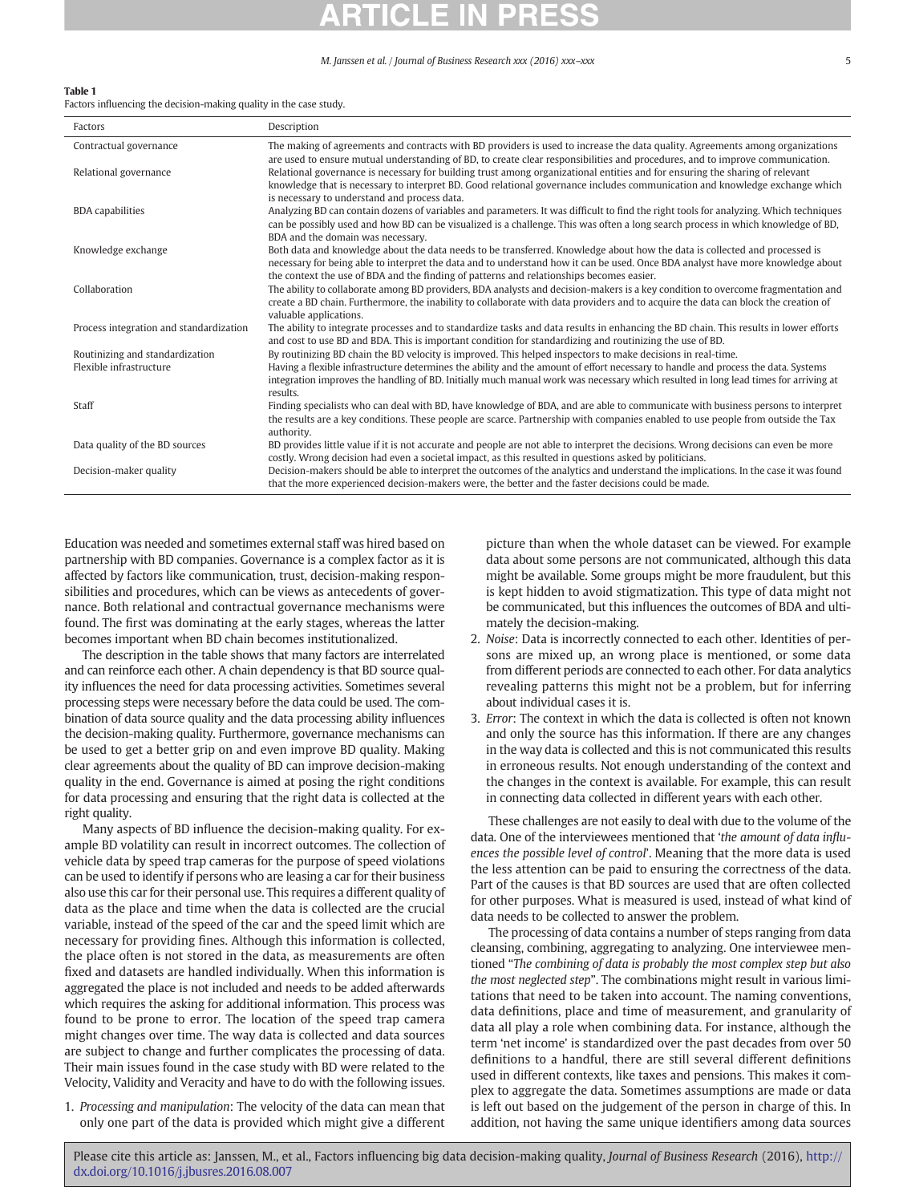#### <span id="page-4-0"></span>Table 1

Factors influencing the decision-making quality in the case study.

| Factors                 | Description                                                                                                                                                                                                                                                                                                                                               |
|-------------------------|-----------------------------------------------------------------------------------------------------------------------------------------------------------------------------------------------------------------------------------------------------------------------------------------------------------------------------------------------------------|
| Contractual governance  | The making of agreements and contracts with BD providers is used to increase the data quality. Agreements among organizations<br>are used to ensure mutual understanding of BD, to create clear responsibilities and procedures, and to improve communication.                                                                                            |
| Relational governance   | Relational governance is necessary for building trust among organizational entities and for ensuring the sharing of relevant<br>knowledge that is necessary to interpret BD. Good relational governance includes communication and knowledge exchange which<br>is necessary to understand and process data.                                               |
| <b>BDA capabilities</b> | Analyzing BD can contain dozens of variables and parameters. It was difficult to find the right tools for analyzing. Which techniques<br>can be possibly used and how BD can be visualized is a challenge. This was often a long search process in which knowledge of BD,<br>BDA and the domain was necessary.                                            |
| Knowledge exchange      | Both data and knowledge about the data needs to be transferred. Knowledge about how the data is collected and processed is<br>necessary for being able to interpret the data and to understand how it can be used. Once BDA analyst have more knowledge about<br>the context the use of BDA and the finding of patterns and relationships becomes easier. |
| Collaboration           | The ability to collaborate among BD providers, BDA analysts and decision-makers is a key condition to overcome fragmentation and<br>create a BD chain. Furthermore, the inability to collaborate with data providers and to acquire the data can block the creation of                                                                                    |

| Process integration and standardization<br>The ability to integrate processes and to standardize tasks and data results in enhancing the BD chain. This results in lower efforts |  |
|----------------------------------------------------------------------------------------------------------------------------------------------------------------------------------|--|
| and cost to use BD and BDA. This is important condition for standardizing and routinizing the use of BD.                                                                         |  |
| Routinizing and standardization<br>By routinizing BD chain the BD velocity is improved. This helped inspectors to make decisions in real-time.                                   |  |
| Flexible infrastructure<br>Having a flexible infrastructure determines the ability and the amount of effort necessary to handle and process the data. Systems                    |  |
| integration improves the handling of BD. Initially much manual work was necessary which resulted in long lead times for arriving at                                              |  |
| results.                                                                                                                                                                         |  |
| Finding specialists who can deal with BD, have knowledge of BDA, and are able to communicate with business persons to interpret<br>Staff                                         |  |
| the results are a key conditions. These people are scarce. Partnership with companies enabled to use people from outside the Tax                                                 |  |
| authority.                                                                                                                                                                       |  |
| BD provides little value if it is not accurate and people are not able to interpret the decisions. Wrong decisions can even be more<br>Data quality of the BD sources            |  |
| costly. Wrong decision had even a societal impact, as this resulted in questions asked by politicians.                                                                           |  |
| Decision-makers should be able to interpret the outcomes of the analytics and understand the implications. In the case it was found<br>Decision-maker quality                    |  |
| that the more experienced decision-makers were, the better and the faster decisions could be made.                                                                               |  |

Education was needed and sometimes external staff was hired based on partnership with BD companies. Governance is a complex factor as it is affected by factors like communication, trust, decision-making responsibilities and procedures, which can be views as antecedents of governance. Both relational and contractual governance mechanisms were found. The first was dominating at the early stages, whereas the latter becomes important when BD chain becomes institutionalized.

The description in the table shows that many factors are interrelated and can reinforce each other. A chain dependency is that BD source quality influences the need for data processing activities. Sometimes several processing steps were necessary before the data could be used. The combination of data source quality and the data processing ability influences the decision-making quality. Furthermore, governance mechanisms can be used to get a better grip on and even improve BD quality. Making clear agreements about the quality of BD can improve decision-making quality in the end. Governance is aimed at posing the right conditions for data processing and ensuring that the right data is collected at the right quality.

Many aspects of BD influence the decision-making quality. For example BD volatility can result in incorrect outcomes. The collection of vehicle data by speed trap cameras for the purpose of speed violations can be used to identify if persons who are leasing a car for their business also use this car for their personal use. This requires a different quality of data as the place and time when the data is collected are the crucial variable, instead of the speed of the car and the speed limit which are necessary for providing fines. Although this information is collected, the place often is not stored in the data, as measurements are often fixed and datasets are handled individually. When this information is aggregated the place is not included and needs to be added afterwards which requires the asking for additional information. This process was found to be prone to error. The location of the speed trap camera might changes over time. The way data is collected and data sources are subject to change and further complicates the processing of data. Their main issues found in the case study with BD were related to the Velocity, Validity and Veracity and have to do with the following issues.

1. Processing and manipulation: The velocity of the data can mean that only one part of the data is provided which might give a different

picture than when the whole dataset can be viewed. For example data about some persons are not communicated, although this data might be available. Some groups might be more fraudulent, but this is kept hidden to avoid stigmatization. This type of data might not be communicated, but this influences the outcomes of BDA and ultimately the decision-making.

- 2. Noise: Data is incorrectly connected to each other. Identities of persons are mixed up, an wrong place is mentioned, or some data from different periods are connected to each other. For data analytics revealing patterns this might not be a problem, but for inferring about individual cases it is.
- 3. Error: The context in which the data is collected is often not known and only the source has this information. If there are any changes in the way data is collected and this is not communicated this results in erroneous results. Not enough understanding of the context and the changes in the context is available. For example, this can result in connecting data collected in different years with each other.

These challenges are not easily to deal with due to the volume of the data. One of the interviewees mentioned that 'the amount of data influences the possible level of control'. Meaning that the more data is used the less attention can be paid to ensuring the correctness of the data. Part of the causes is that BD sources are used that are often collected for other purposes. What is measured is used, instead of what kind of data needs to be collected to answer the problem.

The processing of data contains a number of steps ranging from data cleansing, combining, aggregating to analyzing. One interviewee mentioned "The combining of data is probably the most complex step but also the most neglected step". The combinations might result in various limitations that need to be taken into account. The naming conventions, data definitions, place and time of measurement, and granularity of data all play a role when combining data. For instance, although the term 'net income' is standardized over the past decades from over 50 definitions to a handful, there are still several different definitions used in different contexts, like taxes and pensions. This makes it complex to aggregate the data. Sometimes assumptions are made or data is left out based on the judgement of the person in charge of this. In addition, not having the same unique identifiers among data sources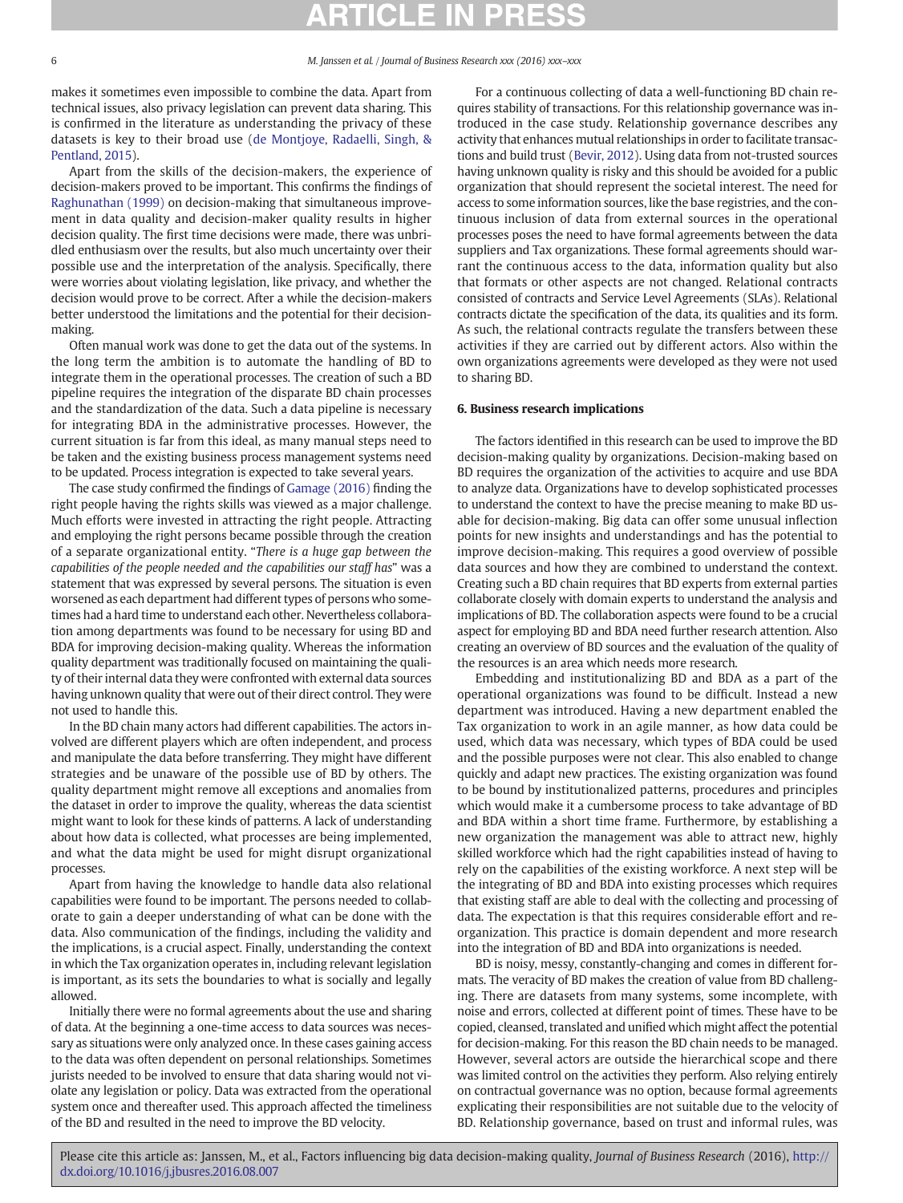makes it sometimes even impossible to combine the data. Apart from technical issues, also privacy legislation can prevent data sharing. This is confirmed in the literature as understanding the privacy of these datasets is key to their broad use [\(de Montjoye, Radaelli, Singh, &](#page-6-0) [Pentland, 2015\)](#page-6-0).

Apart from the skills of the decision-makers, the experience of decision-makers proved to be important. This confirms the findings of [Raghunathan \(1999\)](#page-7-0) on decision-making that simultaneous improvement in data quality and decision-maker quality results in higher decision quality. The first time decisions were made, there was unbridled enthusiasm over the results, but also much uncertainty over their possible use and the interpretation of the analysis. Specifically, there were worries about violating legislation, like privacy, and whether the decision would prove to be correct. After a while the decision-makers better understood the limitations and the potential for their decisionmaking.

Often manual work was done to get the data out of the systems. In the long term the ambition is to automate the handling of BD to integrate them in the operational processes. The creation of such a BD pipeline requires the integration of the disparate BD chain processes and the standardization of the data. Such a data pipeline is necessary for integrating BDA in the administrative processes. However, the current situation is far from this ideal, as many manual steps need to be taken and the existing business process management systems need to be updated. Process integration is expected to take several years.

The case study confirmed the findings of [Gamage \(2016\)](#page-6-0) finding the right people having the rights skills was viewed as a major challenge. Much efforts were invested in attracting the right people. Attracting and employing the right persons became possible through the creation of a separate organizational entity. "There is a huge gap between the capabilities of the people needed and the capabilities our staff has" was a statement that was expressed by several persons. The situation is even worsened as each department had different types of persons who sometimes had a hard time to understand each other. Nevertheless collaboration among departments was found to be necessary for using BD and BDA for improving decision-making quality. Whereas the information quality department was traditionally focused on maintaining the quality of their internal data they were confronted with external data sources having unknown quality that were out of their direct control. They were not used to handle this.

In the BD chain many actors had different capabilities. The actors involved are different players which are often independent, and process and manipulate the data before transferring. They might have different strategies and be unaware of the possible use of BD by others. The quality department might remove all exceptions and anomalies from the dataset in order to improve the quality, whereas the data scientist might want to look for these kinds of patterns. A lack of understanding about how data is collected, what processes are being implemented, and what the data might be used for might disrupt organizational processes.

Apart from having the knowledge to handle data also relational capabilities were found to be important. The persons needed to collaborate to gain a deeper understanding of what can be done with the data. Also communication of the findings, including the validity and the implications, is a crucial aspect. Finally, understanding the context in which the Tax organization operates in, including relevant legislation is important, as its sets the boundaries to what is socially and legally allowed.

Initially there were no formal agreements about the use and sharing of data. At the beginning a one-time access to data sources was necessary as situations were only analyzed once. In these cases gaining access to the data was often dependent on personal relationships. Sometimes jurists needed to be involved to ensure that data sharing would not violate any legislation or policy. Data was extracted from the operational system once and thereafter used. This approach affected the timeliness of the BD and resulted in the need to improve the BD velocity.

For a continuous collecting of data a well-functioning BD chain requires stability of transactions. For this relationship governance was introduced in the case study. Relationship governance describes any activity that enhances mutual relationships in order to facilitate transactions and build trust ([Bevir, 2012](#page-6-0)). Using data from not-trusted sources having unknown quality is risky and this should be avoided for a public organization that should represent the societal interest. The need for access to some information sources, like the base registries, and the continuous inclusion of data from external sources in the operational processes poses the need to have formal agreements between the data suppliers and Tax organizations. These formal agreements should warrant the continuous access to the data, information quality but also that formats or other aspects are not changed. Relational contracts consisted of contracts and Service Level Agreements (SLAs). Relational contracts dictate the specification of the data, its qualities and its form. As such, the relational contracts regulate the transfers between these activities if they are carried out by different actors. Also within the own organizations agreements were developed as they were not used to sharing BD.

### 6. Business research implications

The factors identified in this research can be used to improve the BD decision-making quality by organizations. Decision-making based on BD requires the organization of the activities to acquire and use BDA to analyze data. Organizations have to develop sophisticated processes to understand the context to have the precise meaning to make BD usable for decision-making. Big data can offer some unusual inflection points for new insights and understandings and has the potential to improve decision-making. This requires a good overview of possible data sources and how they are combined to understand the context. Creating such a BD chain requires that BD experts from external parties collaborate closely with domain experts to understand the analysis and implications of BD. The collaboration aspects were found to be a crucial aspect for employing BD and BDA need further research attention. Also creating an overview of BD sources and the evaluation of the quality of the resources is an area which needs more research.

Embedding and institutionalizing BD and BDA as a part of the operational organizations was found to be difficult. Instead a new department was introduced. Having a new department enabled the Tax organization to work in an agile manner, as how data could be used, which data was necessary, which types of BDA could be used and the possible purposes were not clear. This also enabled to change quickly and adapt new practices. The existing organization was found to be bound by institutionalized patterns, procedures and principles which would make it a cumbersome process to take advantage of BD and BDA within a short time frame. Furthermore, by establishing a new organization the management was able to attract new, highly skilled workforce which had the right capabilities instead of having to rely on the capabilities of the existing workforce. A next step will be the integrating of BD and BDA into existing processes which requires that existing staff are able to deal with the collecting and processing of data. The expectation is that this requires considerable effort and reorganization. This practice is domain dependent and more research into the integration of BD and BDA into organizations is needed.

BD is noisy, messy, constantly-changing and comes in different formats. The veracity of BD makes the creation of value from BD challenging. There are datasets from many systems, some incomplete, with noise and errors, collected at different point of times. These have to be copied, cleansed, translated and unified which might affect the potential for decision-making. For this reason the BD chain needs to be managed. However, several actors are outside the hierarchical scope and there was limited control on the activities they perform. Also relying entirely on contractual governance was no option, because formal agreements explicating their responsibilities are not suitable due to the velocity of BD. Relationship governance, based on trust and informal rules, was

Please cite this article as: Janssen, M., et al., Factors influencing big data decision-making quality, Journal of Business Research (2016), [http://](http://dx.doi.org/10.1016/j.jbusres.2016.08.007) [dx.doi.org/10.1016/j.jbusres.2016.08.007](http://dx.doi.org/10.1016/j.jbusres.2016.08.007)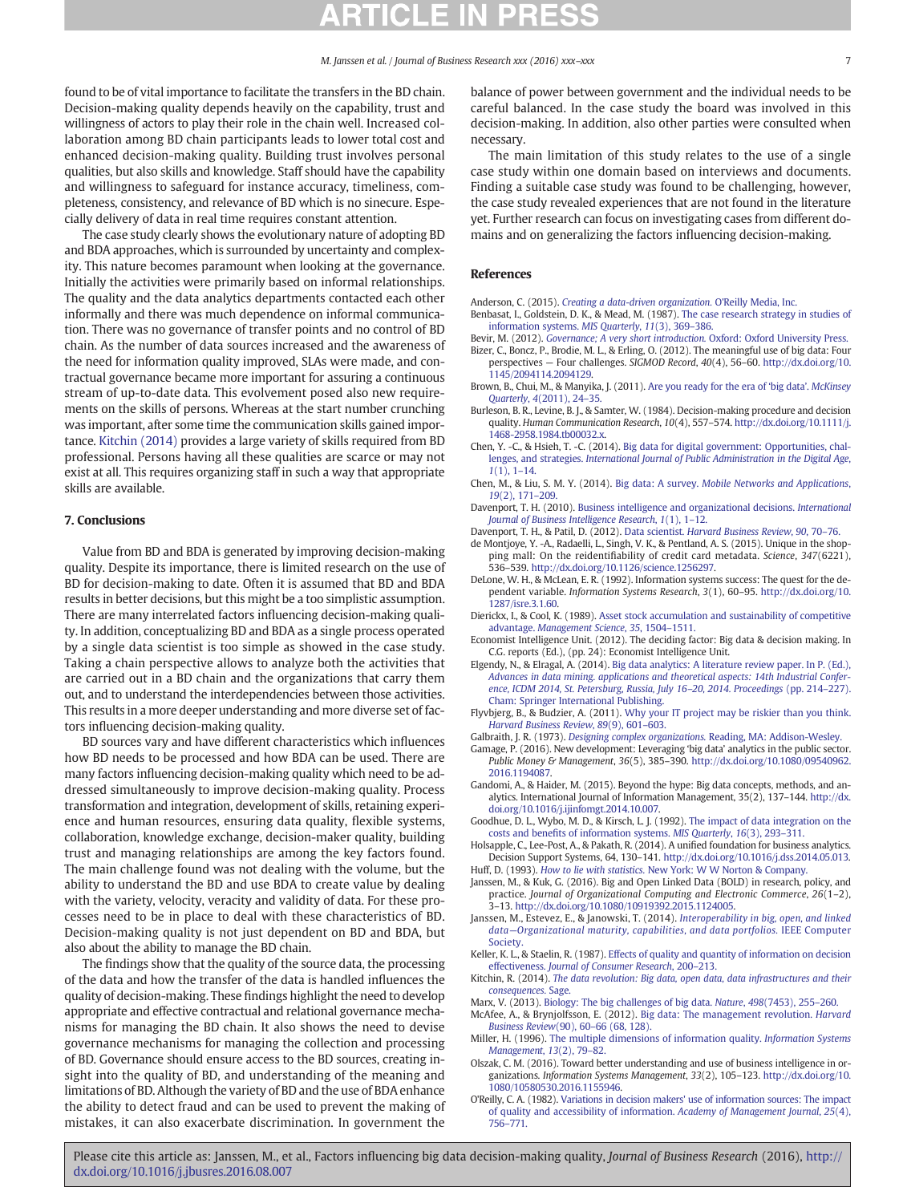<span id="page-6-0"></span>found to be of vital importance to facilitate the transfers in the BD chain. Decision-making quality depends heavily on the capability, trust and willingness of actors to play their role in the chain well. Increased collaboration among BD chain participants leads to lower total cost and enhanced decision-making quality. Building trust involves personal qualities, but also skills and knowledge. Staff should have the capability and willingness to safeguard for instance accuracy, timeliness, completeness, consistency, and relevance of BD which is no sinecure. Especially delivery of data in real time requires constant attention.

The case study clearly shows the evolutionary nature of adopting BD and BDA approaches, which is surrounded by uncertainty and complexity. This nature becomes paramount when looking at the governance. Initially the activities were primarily based on informal relationships. The quality and the data analytics departments contacted each other informally and there was much dependence on informal communication. There was no governance of transfer points and no control of BD chain. As the number of data sources increased and the awareness of the need for information quality improved, SLAs were made, and contractual governance became more important for assuring a continuous stream of up-to-date data. This evolvement posed also new requirements on the skills of persons. Whereas at the start number crunching was important, after some time the communication skills gained importance. Kitchin (2014) provides a large variety of skills required from BD professional. Persons having all these qualities are scarce or may not exist at all. This requires organizing staff in such a way that appropriate skills are available.

#### 7. Conclusions

Value from BD and BDA is generated by improving decision-making quality. Despite its importance, there is limited research on the use of BD for decision-making to date. Often it is assumed that BD and BDA results in better decisions, but this might be a too simplistic assumption. There are many interrelated factors influencing decision-making quality. In addition, conceptualizing BD and BDA as a single process operated by a single data scientist is too simple as showed in the case study. Taking a chain perspective allows to analyze both the activities that are carried out in a BD chain and the organizations that carry them out, and to understand the interdependencies between those activities. This results in a more deeper understanding and more diverse set of factors influencing decision-making quality.

BD sources vary and have different characteristics which influences how BD needs to be processed and how BDA can be used. There are many factors influencing decision-making quality which need to be addressed simultaneously to improve decision-making quality. Process transformation and integration, development of skills, retaining experience and human resources, ensuring data quality, flexible systems, collaboration, knowledge exchange, decision-maker quality, building trust and managing relationships are among the key factors found. The main challenge found was not dealing with the volume, but the ability to understand the BD and use BDA to create value by dealing with the variety, velocity, veracity and validity of data. For these processes need to be in place to deal with these characteristics of BD. Decision-making quality is not just dependent on BD and BDA, but also about the ability to manage the BD chain.

The findings show that the quality of the source data, the processing of the data and how the transfer of the data is handled influences the quality of decision-making. These findings highlight the need to develop appropriate and effective contractual and relational governance mechanisms for managing the BD chain. It also shows the need to devise governance mechanisms for managing the collection and processing of BD. Governance should ensure access to the BD sources, creating insight into the quality of BD, and understanding of the meaning and limitations of BD. Although the variety of BD and the use of BDA enhance the ability to detect fraud and can be used to prevent the making of mistakes, it can also exacerbate discrimination. In government the

balance of power between government and the individual needs to be careful balanced. In the case study the board was involved in this decision-making. In addition, also other parties were consulted when necessary.

The main limitation of this study relates to the use of a single case study within one domain based on interviews and documents. Finding a suitable case study was found to be challenging, however, the case study revealed experiences that are not found in the literature yet. Further research can focus on investigating cases from different domains and on generalizing the factors influencing decision-making.

### References

Anderson, C. (2015). [Creating a data-driven organization.](http://refhub.elsevier.com/S0148-2963(16)30494-5/rf0005) O'Reilly Media, Inc.

- Benbasat, I., Goldstein, D. K., & Mead, M. (1987). [The case research strategy in studies of](http://refhub.elsevier.com/S0148-2963(16)30494-5/rf0010) [information systems.](http://refhub.elsevier.com/S0148-2963(16)30494-5/rf0010) MIS Quarterly, 11(3), 369–386.
- Bevir, M. (2012). [Governance; A very short introduction.](http://refhub.elsevier.com/S0148-2963(16)30494-5/rf0015) Oxford: Oxford University Press. Bizer, C., Boncz, P., Brodie, M. L., & Erling, O. (2012). The meaningful use of big data: Four perspectives — Four challenges. SIGMOD Record, 40(4), 56–60. http://dx.doi.org/[10.](http://dx.doi.org/10.1145/2094114.2094129) [1145/2094114.2094129](http://dx.doi.org/10.1145/2094114.2094129).
- Brown, B., Chui, M., & Manyika, J. (2011). [Are you ready for the era of](http://refhub.elsevier.com/S0148-2963(16)30494-5/rf0025) 'big data'. McKinsey Quarterly, 4[\(2011\), 24](http://refhub.elsevier.com/S0148-2963(16)30494-5/rf0025)–35.
- Burleson, B. R., Levine, B. J., & Samter, W. (1984). Decision-making procedure and decision quality. Human Communication Research, 10(4), 557–574. http://dx.doi.org[/10.1111/j.](http://dx.doi.org/10.1111/j.1468-2958.1984.tb00032.x) [1468-2958.1984.tb00032.x.](http://dx.doi.org/10.1111/j.1468-2958.1984.tb00032.x)
- Chen, Y. -C., & Hsieh, T. -C. (2014). [Big data for digital government: Opportunities, chal](http://refhub.elsevier.com/S0148-2963(16)30494-5/rf0035)lenges, and strategies. [International Journal of Public Administration in the Digital Age](http://refhub.elsevier.com/S0148-2963(16)30494-5/rf0035),  $1(1), 1-14.$  $1(1), 1-14.$  $1(1), 1-14.$
- Chen, M., & Liu, S. M. Y. (2014). Big data: A survey. [Mobile Networks and Applications](http://refhub.elsevier.com/S0148-2963(16)30494-5/rf0040), 19[\(2\), 171](http://refhub.elsevier.com/S0148-2963(16)30494-5/rf0040)–209.
- Davenport, T. H. (2010). [Business intelligence and organizational decisions.](http://refhub.elsevier.com/S0148-2963(16)30494-5/rf0045) International [Journal of Business Intelligence Research](http://refhub.elsevier.com/S0148-2963(16)30494-5/rf0045), 1(1), 1–12.
- Davenport, T. H., & Patil, D. (2012). Data scientist. [Harvard Business Review](http://refhub.elsevier.com/S0148-2963(16)30494-5/rf0050), 90, 70–76.
- de Montjoye, Y. -A., Radaelli, L., Singh, V. K., & Pentland, A. S. (2015). Unique in the shopping mall: On the reidentifiability of credit card metadata. Science, 347(6221), 536–539. http://dx.doi.org[/10.1126/science.1256297](http://dx.doi.org/10.1126/science.1256297).
- DeLone, W. H., & McLean, E. R. (1992). Information systems success: The quest for the dependent variable. Information Systems Research, 3(1), 60–95. http://dx.doi.org/[10.](http://dx.doi.org/10.1287/isre.3.1.60) [1287/isre.3.1.60](http://dx.doi.org/10.1287/isre.3.1.60).
- Dierickx, I., & Cool, K. (1989). [Asset stock accumulation and sustainability of competitive](http://refhub.elsevier.com/S0148-2963(16)30494-5/rf0065) advantage. [Management Science](http://refhub.elsevier.com/S0148-2963(16)30494-5/rf0065), 35, 1504–1511.
- Economist Intelligence Unit. (2012). The deciding factor: Big data & decision making. In C.G. reports (Ed.), (pp. 24): Economist Intelligence Unit.
- Elgendy, N., & Elragal, A. (2014). [Big data analytics: A literature review paper. In P. \(Ed.\),](http://refhub.elsevier.com/S0148-2963(16)30494-5/rf0070) [Advances in data mining. applications and theoretical aspects: 14th Industrial Confer](http://refhub.elsevier.com/S0148-2963(16)30494-5/rf0070)[ence, ICDM 2014, St. Petersburg, Russia, July 16](http://refhub.elsevier.com/S0148-2963(16)30494-5/rf0070)–20, 2014. Proceedings (pp. 214–227). [Cham: Springer International Publishing.](http://refhub.elsevier.com/S0148-2963(16)30494-5/rf0070)
- Flyvbjerg, B., & Budzier, A. (2011). [Why your IT project may be riskier than you think.](http://refhub.elsevier.com/S0148-2963(16)30494-5/rf0075) [Harvard Business Review](http://refhub.elsevier.com/S0148-2963(16)30494-5/rf0075), 89(9), 601–603.
- Galbraith, J. R. (1973). [Designing complex organizations.](http://refhub.elsevier.com/S0148-2963(16)30494-5/rf0080) Reading, MA: Addison-Wesley.
- Gamage, P. (2016). New development: Leveraging 'big data' analytics in the public sector. Public Money & Management, 36(5), 385–390. http://dx.doi.org/[10.1080/09540962.](http://dx.doi.org/10.1080/09540962.2016.1194087) [2016.1194087.](http://dx.doi.org/10.1080/09540962.2016.1194087)
- Gandomi, A., & Haider, M. (2015). Beyond the hype: Big data concepts, methods, and analytics. International Journal of Information Management, 35(2), 137–144. [http://dx.](http://dx.doi.org/10.1016/j.ijinfomgt.2014.10.007) [doi.org/10.1016/j.ijinfomgt.2014.10.007](http://dx.doi.org/10.1016/j.ijinfomgt.2014.10.007).
- Goodhue, D. L., Wybo, M. D., & Kirsch, L. J. (1992). [The impact of data integration on the](http://refhub.elsevier.com/S0148-2963(16)30494-5/rf0090) costs and benefi[ts of information systems.](http://refhub.elsevier.com/S0148-2963(16)30494-5/rf0090) MIS Quarterly, 16(3), 293–311.
- Holsapple, C., Lee-Post, A., & Pakath, R. (2014). A unified foundation for business analytics. Decision Support Systems, 64, 130–141. [http://dx.doi.org/10.1016/j.dss.2014.05.013.](http://dx.doi.org/10.1016/j.dss.2014.05.013)
- Huff, D. (1993). How to lie with statistics. [New York: W W Norton & Company.](http://refhub.elsevier.com/S0148-2963(16)30494-5/rf0095) Janssen, M., & Kuk, G. (2016). Big and Open Linked Data (BOLD) in research, policy, and practice. Journal of Organizational Computing and Electronic Commerce, 26(1–2),
- 3–13. http://dx.doi.org/[10.1080/10919392.2015.1124005.](http://dx.doi.org/10.1080/10919392.2015.1124005) Janssen, M., Estevez, E., & Janowski, T. (2014). [Interoperability in big, open, and linked](http://refhub.elsevier.com/S0148-2963(16)30494-5/rf0105) data—[Organizational maturity, capabilities, and data portfolios.](http://refhub.elsevier.com/S0148-2963(16)30494-5/rf0105) IEEE Computer **Society**
- Keller, K. L., & Staelin, R. (1987). [Effects of quality and quantity of information on decision](http://refhub.elsevier.com/S0148-2963(16)30494-5/rf0110) effectiveness. [Journal of Consumer Research](http://refhub.elsevier.com/S0148-2963(16)30494-5/rf0110), 200–213.
- Kitchin, R. (2014). [The data revolution: Big data, open data, data infrastructures and their](http://refhub.elsevier.com/S0148-2963(16)30494-5/rf0115) [consequences.](http://refhub.elsevier.com/S0148-2963(16)30494-5/rf0115) Sage.
- Marx, V. (2013). [Biology: The big challenges of big data.](http://refhub.elsevier.com/S0148-2963(16)30494-5/rf0120) Nature, 498(7453), 255–260. McAfee, A., & Brynjolfsson, E. (2012). [Big data: The management revolution.](http://refhub.elsevier.com/S0148-2963(16)30494-5/rf0125) Harvard
- [Business Review](http://refhub.elsevier.com/S0148-2963(16)30494-5/rf0125)(90), 60–66 (68, 128). Miller, H. (1996). [The multiple dimensions of information quality.](http://refhub.elsevier.com/S0148-2963(16)30494-5/rf0130) Information Systems [Management](http://refhub.elsevier.com/S0148-2963(16)30494-5/rf0130), 13(2), 79–82.
- Olszak, C. M. (2016). Toward better understanding and use of business intelligence in organizations. Information Systems Management, 33(2), 105–123. http://dx.doi.org/[10.](http://dx.doi.org/10.1080/10580530.2016.1155946) [1080/10580530.2016.1155946](http://dx.doi.org/10.1080/10580530.2016.1155946).
- O'Reilly, C. A. (1982). [Variations in decision makers' use of information sources: The impact](http://refhub.elsevier.com/S0148-2963(16)30494-5/rf0140) [of quality and accessibility of information.](http://refhub.elsevier.com/S0148-2963(16)30494-5/rf0140) Academy of Management Journal, 25(4), 756–[771.](http://refhub.elsevier.com/S0148-2963(16)30494-5/rf0140)

Please cite this article as: Janssen, M., et al., Factors influencing big data decision-making quality, Journal of Business Research (2016), [http://](http://dx.doi.org/10.1016/j.jbusres.2016.08.007) [dx.doi.org/10.1016/j.jbusres.2016.08.007](http://dx.doi.org/10.1016/j.jbusres.2016.08.007)